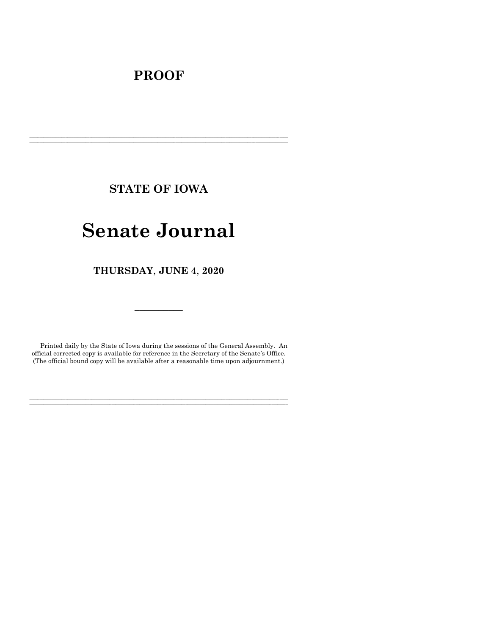## **PROOF**

**STATE OF IOWA**

**\_\_\_\_\_\_\_\_\_\_\_\_\_\_\_\_\_\_\_\_\_\_\_\_\_\_\_\_\_\_\_\_\_\_\_\_\_\_\_\_\_\_\_\_\_\_\_\_\_\_\_\_\_\_\_\_\_\_\_\_\_\_\_\_\_\_\_\_\_\_\_\_\_\_\_\_\_\_\_\_\_\_\_\_\_\_\_\_\_\_\_\_\_\_\_\_\_\_\_\_\_\_\_\_\_\_\_\_\_\_\_\_\_\_\_\_\_\_\_\_\_\_\_\_\_\_\_\_\_ \_\_\_\_\_\_\_\_\_\_\_\_\_\_\_\_\_\_\_\_\_\_\_\_\_\_\_\_\_\_\_\_\_\_\_\_\_\_\_\_\_\_\_\_\_\_\_\_\_\_\_\_\_\_\_\_\_\_\_\_\_\_\_\_\_\_\_\_\_\_\_\_\_\_\_\_\_\_\_\_\_\_\_\_\_\_\_\_\_\_\_\_\_\_\_\_\_\_\_\_\_\_\_\_\_\_\_\_\_\_\_\_\_\_\_\_\_\_\_\_\_\_\_\_\_\_\_\_\_**

# **Senate Journal**

**THURSDAY**, **JUNE 4**, **2020**

Printed daily by the State of Iowa during the sessions of the General Assembly. An official corrected copy is available for reference in the Secretary of the Senate's Office. (The official bound copy will be available after a reasonable time upon adjournment.)

**\_\_\_\_\_\_\_\_\_\_\_\_\_\_\_\_\_\_\_\_\_\_\_\_\_\_\_\_\_\_\_\_\_\_\_\_\_\_\_\_\_\_\_\_\_\_\_\_\_\_\_\_\_\_\_\_\_\_\_\_\_\_\_\_\_\_\_\_\_\_\_\_\_\_\_\_\_\_\_\_\_\_\_\_\_\_\_\_\_\_\_\_\_\_\_\_\_\_\_\_\_\_\_\_\_\_\_\_\_\_\_\_\_\_\_\_\_\_\_\_\_\_\_\_\_\_\_\_\_ \_\_\_\_\_\_\_\_\_\_\_\_\_\_\_\_\_\_\_\_\_\_\_\_\_\_\_\_\_\_\_\_\_\_\_\_\_\_\_\_\_\_\_\_\_\_\_\_\_\_\_\_\_\_\_\_\_\_\_\_\_\_\_\_\_\_\_\_\_\_\_\_\_\_\_\_\_\_\_\_\_\_\_\_\_\_\_\_\_\_\_\_\_\_\_\_\_\_\_\_\_\_\_\_\_\_\_\_\_\_\_\_\_\_\_\_\_\_\_\_\_\_\_\_\_\_\_\_\_**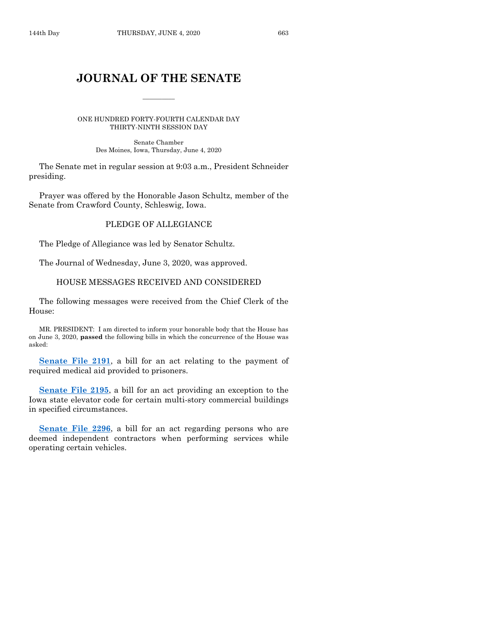## **JOURNAL OF THE SENATE**

 $\overline{\phantom{a}}$ 

ONE HUNDRED FORTY-FOURTH CALENDAR DAY THIRTY-NINTH SESSION DAY

> Senate Chamber Des Moines, Iowa, Thursday, June 4, 2020

The Senate met in regular session at 9:03 a.m., President Schneider presiding.

Prayer was offered by the Honorable Jason Schultz, member of the Senate from Crawford County, Schleswig, Iowa.

## PLEDGE OF ALLEGIANCE

The Pledge of Allegiance was led by Senator Schultz.

The Journal of Wednesday, June 3, 2020, was approved.

## HOUSE MESSAGES RECEIVED AND CONSIDERED

The following messages were received from the Chief Clerk of the House:

MR. PRESIDENT: I am directed to inform your honorable body that the House has on June 3, 2020, **passed** the following bills in which the concurrence of the House was asked:

**[Senate File 2191](https://www.legis.iowa.gov/legislation/BillBook?ga=88&ba=SF2191)**, a bill for an act relating to the payment of required medical aid provided to prisoners.

**[Senate File 2195](https://www.legis.iowa.gov/legislation/BillBook?ga=88&ba=SF2195)**, a bill for an act providing an exception to the Iowa state elevator code for certain multi-story commercial buildings in specified circumstances.

**[Senate File 2296](https://www.legis.iowa.gov/legislation/BillBook?ga=88&ba=SF2296)**, a bill for an act regarding persons who are deemed independent contractors when performing services while operating certain vehicles.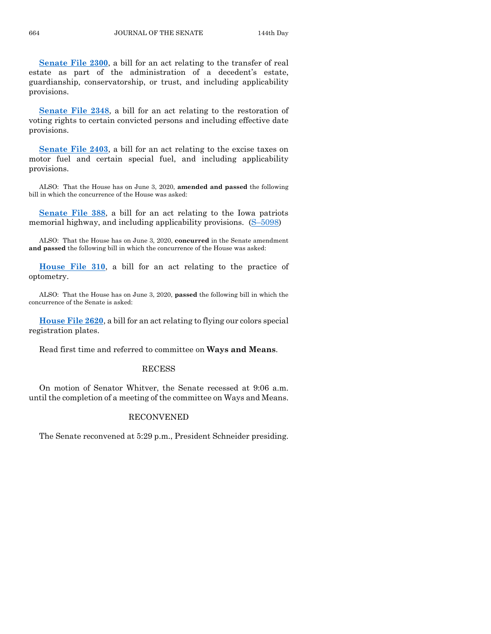**[Senate File 2300](https://www.legis.iowa.gov/legislation/BillBook?ga=88&ba=SF2300)**, a bill for an act relating to the transfer of real estate as part of the administration of a decedent's estate, guardianship, conservatorship, or trust, and including applicability provisions.

**[Senate File 2348](https://www.legis.iowa.gov/legislation/BillBook?ga=88&ba=SF2348)**, a bill for an act relating to the restoration of voting rights to certain convicted persons and including effective date provisions.

**[Senate File 2403](https://www.legis.iowa.gov/legislation/BillBook?ga=88&ba=SF2403)**, a bill for an act relating to the excise taxes on motor fuel and certain special fuel, and including applicability provisions.

ALSO: That the House has on June 3, 2020, **amended and passed** the following bill in which the concurrence of the House was asked:

**[Senate File 388](https://www.legis.iowa.gov/legislation/BillBook?ga=88&ba=SF388)**, a bill for an act relating to the Iowa patriots memorial highway, and including applicability provisions. (S–[5098\)](https://www.legis.iowa.gov/legislation/BillBook?ga=88&ba=S5098)

ALSO: That the House has on June 3, 2020, **concurred** in the Senate amendment **and passed** the following bill in which the concurrence of the House was asked:

**[House File 310](https://www.legis.iowa.gov/legislation/BillBook?ga=88&ba=HF310)**, a bill for an act relating to the practice of optometry.

ALSO: That the House has on June 3, 2020, **passed** the following bill in which the concurrence of the Senate is asked:

**[House File 2620](https://www.legis.iowa.gov/legislation/BillBook?ga=88&ba=HF2620)**, a bill for an act relating to flying our colors special registration plates.

Read first time and referred to committee on **Ways and Means**.

#### RECESS

On motion of Senator Whitver, the Senate recessed at 9:06 a.m. until the completion of a meeting of the committee on Ways and Means.

## RECONVENED

The Senate reconvened at 5:29 p.m., President Schneider presiding.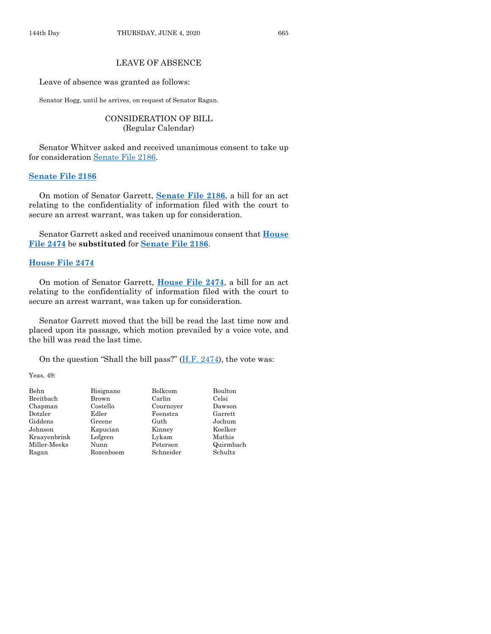## LEAVE OF ABSENCE

#### Leave of absence was granted as follows:

Senator Hogg, until he arrives, on request of Senator Ragan.

## CONSIDERATION OF BILL (Regular Calendar)

Senator Whitver asked and received unanimous consent to take up for consideration [Senate File 2186.](https://www.legis.iowa.gov/legislation/BillBook?ga=88&ba=SF2186)

## **[Senate File 2186](https://www.legis.iowa.gov/legislation/BillBook?ga=88&ba=SF2186)**

On motion of Senator Garrett, **[Senate File 2186](https://www.legis.iowa.gov/legislation/BillBook?ga=88&ba=SF2186)**, a bill for an act relating to the confidentiality of information filed with the court to secure an arrest warrant, was taken up for consideration.

Senator Garrett asked and received unanimous consent that **[House](https://www.legis.iowa.gov/legislation/BillBook?ga=88&ba=HF2474)  [File 2474](https://www.legis.iowa.gov/legislation/BillBook?ga=88&ba=HF2474)** be **substituted** for **[Senate File 2186](https://www.legis.iowa.gov/legislation/BillBook?ga=88&ba=SF2186)**.

## **[House File 2474](https://www.legis.iowa.gov/legislation/BillBook?ga=88&ba=HF2474)**

On motion of Senator Garrett, **[House File 2474](https://www.legis.iowa.gov/legislation/BillBook?ga=88&ba=HF2474)**, a bill for an act relating to the confidentiality of information filed with the court to secure an arrest warrant, was taken up for consideration.

Senator Garrett moved that the bill be read the last time now and placed upon its passage, which motion prevailed by a voice vote, and the bill was read the last time.

On the question "Shall the bill pass?" [\(H.F. 2474\)](https://www.legis.iowa.gov/legislation/BillBook?ga=88&ba=HF2474), the vote was:

Yeas, 49:

| Behn         | Bisignano | Bolkcom   | Boulton   |
|--------------|-----------|-----------|-----------|
| Breitbach    | Brown     | Carlin    | Celsi     |
| Chapman      | Costello  | Cournoyer | Dawson    |
| Dotzler      | Edler     | Feenstra  | Garrett   |
| Giddens      | Greene    | Guth      | Jochum    |
| Johnson      | Kapucian  | Kinney    | Koelker   |
| Kraayenbrink | Lofgren   | Lykam     | Mathis    |
| Miller-Meeks | Nunn      | Petersen  | Quirmbach |
| Ragan        | Rozenboom | Schneider | Schultz   |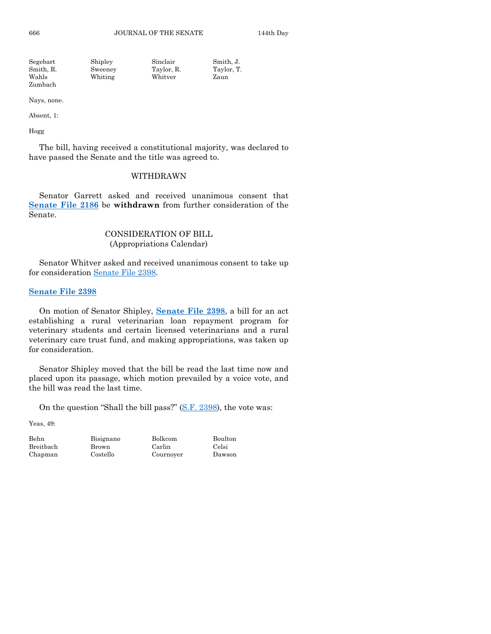| Segebart  | Shipley | Sinclair   | Smith. J.  |
|-----------|---------|------------|------------|
| Smith, R. | Sweeney | Taylor, R. | Taylor, T. |
| Wahls     | Whiting | Whitver    | Zaun       |
| Zumbach   |         |            |            |

Nays, none.

Absent, 1:

Hogg

The bill, having received a constitutional majority, was declared to have passed the Senate and the title was agreed to.

## WITHDRAWN

Senator Garrett asked and received unanimous consent that **[Senate File 2186](https://www.legis.iowa.gov/legislation/BillBook?ga=88&ba=SF2186)** be **withdrawn** from further consideration of the Senate.

## CONSIDERATION OF BILL (Appropriations Calendar)

Senator Whitver asked and received unanimous consent to take up for consideration [Senate File 2398.](https://www.legis.iowa.gov/legislation/BillBook?ga=88&ba=SF2398)

## **[Senate File 2398](https://www.legis.iowa.gov/legislation/BillBook?ga=88&ba=SF2398)**

On motion of Senator Shipley, **[Senate File 2398](https://www.legis.iowa.gov/legislation/BillBook?ga=88&ba=SF2398)**, a bill for an act establishing a rural veterinarian loan repayment program for veterinary students and certain licensed veterinarians and a rural veterinary care trust fund, and making appropriations, was taken up for consideration.

Senator Shipley moved that the bill be read the last time now and placed upon its passage, which motion prevailed by a voice vote, and the bill was read the last time.

On the question "Shall the bill pass?" [\(S.F. 2398\)](https://www.legis.iowa.gov/legislation/BillBook?ga=88&ba=SF2398), the vote was:

Yeas, 49:

Behn Bisignano Bolkcom Boulton Breitbach Brown Carlin Celsi Chapman Costello Cournoyer Dawson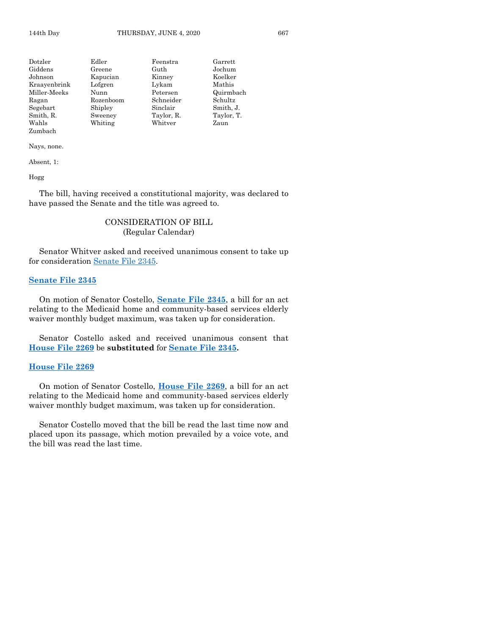| Dotzler      | Edler     | Feenstra   | Garrett    |
|--------------|-----------|------------|------------|
| Giddens      | Greene    | Guth       | Jochum     |
| Johnson      | Kapucian  | Kinney     | Koelker    |
| Kraayenbrink | Lofgren   | Lykam      | Mathis     |
| Miller-Meeks | Nunn      | Petersen   | Quirmbach  |
| Ragan        | Rozenboom | Schneider  | Schultz    |
| Segebart     | Shipley   | Sinclair   | Smith, J.  |
| Smith, R.    | Sweeney   | Taylor, R. | Taylor, T. |
| Wahls        | Whiting   | Whitver    | Zaun       |
| Zumbach      |           |            |            |

Nays, none.

Absent, 1:

Hogg

The bill, having received a constitutional majority, was declared to have passed the Senate and the title was agreed to.

## CONSIDERATION OF BILL (Regular Calendar)

Senator Whitver asked and received unanimous consent to take up for consideration [Senate File 2345.](https://www.legis.iowa.gov/legislation/BillBook?ga=88&ba=SF2345)

#### **[Senate File 2345](https://www.legis.iowa.gov/legislation/BillBook?ga=88&ba=SF2345)**

On motion of Senator Costello, **[Senate File 2345](https://www.legis.iowa.gov/legislation/BillBook?ga=88&ba=SF2345)**, a bill for an act relating to the Medicaid home and community-based services elderly waiver monthly budget maximum, was taken up for consideration.

Senator Costello asked and received unanimous consent that **[House File 2269](https://www.legis.iowa.gov/legislation/BillBook?ga=88&ba=HF2269)** be **substituted** for **[Senate File 2345.](https://www.legis.iowa.gov/legislation/BillBook?ga=88&ba=SF2345)** 

## **[House File 2269](https://www.legis.iowa.gov/legislation/BillBook?ga=88&ba=HF2269)**

On motion of Senator Costello, **[House File 2269](https://www.legis.iowa.gov/legislation/BillBook?ga=88&ba=HF2269)**, a bill for an act relating to the Medicaid home and community-based services elderly waiver monthly budget maximum, was taken up for consideration.

Senator Costello moved that the bill be read the last time now and placed upon its passage, which motion prevailed by a voice vote, and the bill was read the last time.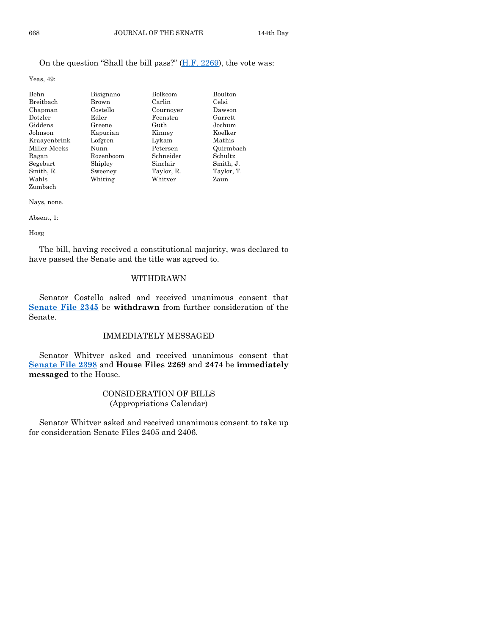## On the question "Shall the bill pass?" [\(H.F. 2269\)](https://www.legis.iowa.gov/legislation/BillBook?ga=88&ba=HF2269), the vote was:

Yeas, 49:

| Behn         | Bisignano | Bolkcom    | Boulton    |
|--------------|-----------|------------|------------|
|              |           |            |            |
| Breitbach    | Brown     | Carlin     | Celsi      |
| Chapman      | Costello  | Cournoyer  | Dawson     |
| Dotzler      | Edler     | Feenstra   | Garrett    |
| Giddens      | Greene    | Guth       | Jochum     |
| Johnson      | Kapucian  | Kinney     | Koelker    |
| Kraayenbrink | Lofgren   | Lykam      | Mathis     |
| Miller-Meeks | Nunn      | Petersen   | Quirmbach  |
| Ragan        | Rozenboom | Schneider  | Schultz    |
| Segebart     | Shipley   | Sinclair   | Smith, J.  |
| Smith, R.    | Sweeney   | Taylor, R. | Taylor, T. |
| Wahls        | Whiting   | Whitver    | Zaun       |
| Zumbach      |           |            |            |

Nays, none.

Absent, 1:

#### Hogg

The bill, having received a constitutional majority, was declared to have passed the Senate and the title was agreed to.

## WITHDRAWN

Senator Costello asked and received unanimous consent that **[Senate File 2345](https://www.legis.iowa.gov/legislation/BillBook?ga=88&ba=SF2345)** be **withdrawn** from further consideration of the Senate.

## IMMEDIATELY MESSAGED

Senator Whitver asked and received unanimous consent that **[Senate File 2398](https://www.legis.iowa.gov/legislation/BillBook?ga=88&ba=SF2398)** and **House Files 2269** and **2474** be **immediately messaged** to the House.

## CONSIDERATION OF BILLS (Appropriations Calendar)

Senator Whitver asked and received unanimous consent to take up for consideration Senate Files 2405 and 2406.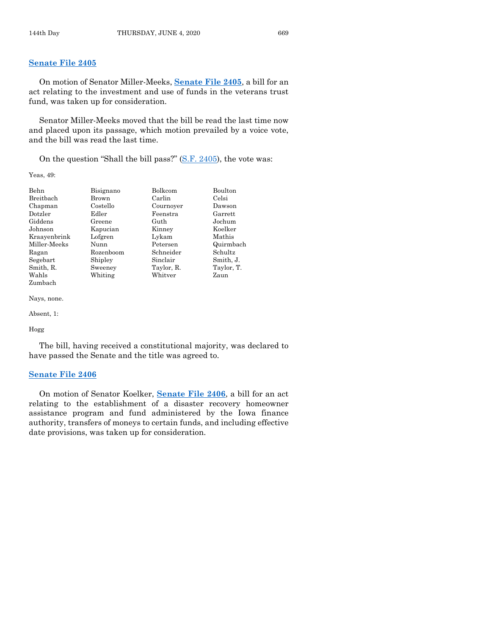## **[Senate File 2405](https://www.legis.iowa.gov/legislation/BillBook?ga=88&ba=SF2405)**

On motion of Senator Miller-Meeks, **[Senate File 2405](https://www.legis.iowa.gov/legislation/BillBook?ga=88&ba=SF2405)**, a bill for an act relating to the investment and use of funds in the veterans trust fund, was taken up for consideration.

Senator Miller-Meeks moved that the bill be read the last time now and placed upon its passage, which motion prevailed by a voice vote, and the bill was read the last time.

On the question "Shall the bill pass?" [\(S.F. 2405\)](https://www.legis.iowa.gov/legislation/BillBook?ga=88&ba=SF2405), the vote was:

Yeas, 49:

| Behn         | Bisignano | <b>Bolkcom</b> | <b>Boulton</b> |
|--------------|-----------|----------------|----------------|
| Breitbach    | Brown     | Carlin         | Celsi          |
| Chapman      | Costello  | Cournover      | Dawson         |
| Dotzler      | Edler     | Feenstra       | Garrett        |
| Giddens      | Greene    | Guth           | Jochum         |
| Johnson      | Kapucian  | Kinney         | Koelker        |
| Kraayenbrink | Lofgren   | Lykam          | Mathis         |
| Miller-Meeks | Nunn      | Petersen       | Quirmbach      |
| Ragan        | Rozenboom | Schneider      | Schultz        |
| Segebart     | Shipley   | Sinclair       | Smith, J.      |
| Smith, R.    | Sweeney   | Taylor, R.     | Taylor, T.     |
| Wahls        | Whiting   | Whitver        | Zaun           |
| Zumbach      |           |                |                |

Nays, none.

Absent, 1:

Hogg

The bill, having received a constitutional majority, was declared to have passed the Senate and the title was agreed to.

## **[Senate File 2406](https://www.legis.iowa.gov/legislation/BillBook?ga=88&ba=SF2406)**

On motion of Senator Koelker, **[Senate File 2406](https://www.legis.iowa.gov/legislation/BillBook?ga=88&ba=SF2406)**, a bill for an act relating to the establishment of a disaster recovery homeowner assistance program and fund administered by the Iowa finance authority, transfers of moneys to certain funds, and including effective date provisions, was taken up for consideration.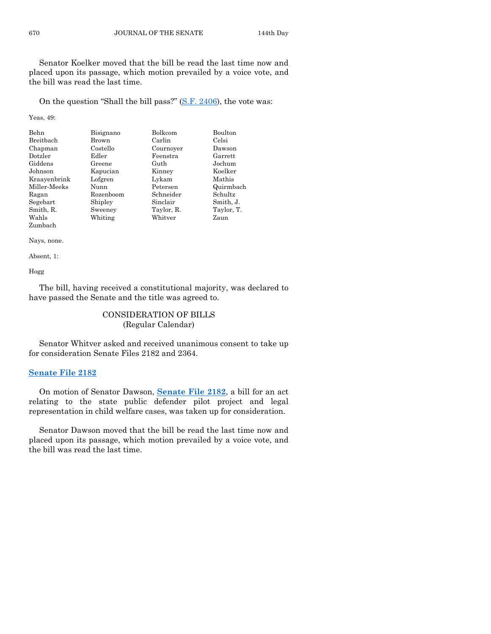Senator Koelker moved that the bill be read the last time now and placed upon its passage, which motion prevailed by a voice vote, and the bill was read the last time.

On the question "Shall the bill pass?" [\(S.F. 2406\)](https://www.legis.iowa.gov/legislation/BillBook?ga=88&ba=SF2406), the vote was:

Yeas, 49:

| Behn         | Bisignano | Bolkcom    | Boulton    |
|--------------|-----------|------------|------------|
| Breitbach    | Brown     | Carlin     | Celsi      |
| Chapman      | Costello  | Cournoyer  | Dawson     |
| Dotzler      | Edler     | Feenstra   | Garrett    |
| Giddens      | Greene    | Guth       | Jochum     |
| Johnson      | Kapucian  | Kinney     | Koelker    |
| Kraayenbrink | Lofgren   | Lykam      | Mathis     |
| Miller-Meeks | Nunn      | Petersen   | Quirmbach  |
| Ragan        | Rozenboom | Schneider  | Schultz    |
| Segebart     | Shipley   | Sinclair   | Smith, J.  |
| Smith, R.    | Sweeney   | Taylor, R. | Taylor, T. |
| Wahls        | Whiting   | Whitver    | Zaun       |
| Zumbach      |           |            |            |

Nays, none.

Absent, 1:

Hogg

The bill, having received a constitutional majority, was declared to have passed the Senate and the title was agreed to.

## CONSIDERATION OF BILLS (Regular Calendar)

Senator Whitver asked and received unanimous consent to take up for consideration Senate Files 2182 and 2364.

## **[Senate File 2182](https://www.legis.iowa.gov/legislation/BillBook?ga=88&ba=SF2182)**

On motion of Senator Dawson, **[Senate File 2182](https://www.legis.iowa.gov/legislation/BillBook?ga=88&ba=SF2182)**, a bill for an act relating to the state public defender pilot project and legal representation in child welfare cases, was taken up for consideration.

Senator Dawson moved that the bill be read the last time now and placed upon its passage, which motion prevailed by a voice vote, and the bill was read the last time.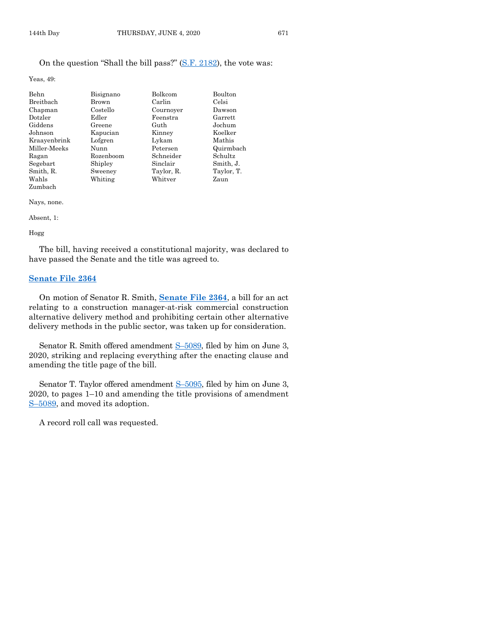## On the question "Shall the bill pass?" [\(S.F. 2182\)](https://www.legis.iowa.gov/legislation/BillBook?ga=88&ba=SF2182), the vote was:

Yeas, 49:

| Behn         | Bisignano | <b>Bolkcom</b> | <b>Boulton</b> |
|--------------|-----------|----------------|----------------|
|              |           |                |                |
| Breithach    | Brown     | Carlin         | Celsi          |
| Chapman      | Costello  | Cournoyer      | Dawson         |
| Dotzler      | Edler     | Feenstra       | Garrett        |
| Giddens      | Greene    | Guth           | Jochum         |
| Johnson      | Kapucian  | Kinney         | Koelker        |
| Kraayenbrink | Lofgren   | Lykam          | Mathis         |
| Miller-Meeks | Nunn      | Petersen       | Quirmbach      |
| Ragan        | Rozenboom | Schneider      | Schultz        |
| Segebart     | Shipley   | Sinclair       | Smith, J.      |
| Smith, R.    | Sweeney   | Taylor, R.     | Taylor, T.     |
| Wahls        | Whiting   | Whitver        | Zaun           |
| Zumbach      |           |                |                |

Nays, none.

#### Absent, 1:

#### Hogg

The bill, having received a constitutional majority, was declared to have passed the Senate and the title was agreed to.

## **[Senate File 2364](https://www.legis.iowa.gov/legislation/BillBook?ga=88&ba=SF2364)**

On motion of Senator R. Smith, **[Senate File 2364](https://www.legis.iowa.gov/legislation/BillBook?ga=88&ba=SF2364)**, a bill for an act relating to a construction manager-at-risk commercial construction alternative delivery method and prohibiting certain other alternative delivery methods in the public sector, was taken up for consideration.

Senator R. Smith offered amendment S–[5089,](https://www.legis.iowa.gov/legislation/BillBook?ga=88&ba=S5089) filed by him on June 3, 2020, striking and replacing everything after the enacting clause and amending the title page of the bill.

Senator T. Taylor offered amendment S–[5095,](https://www.legis.iowa.gov/legislation/BillBook?ga=88&ba=S5095) filed by him on June 3, 2020, to pages 1–10 and amending the title provisions of amendment S–[5089,](https://www.legis.iowa.gov/legislation/BillBook?ga=88&ba=S5089) and moved its adoption.

A record roll call was requested.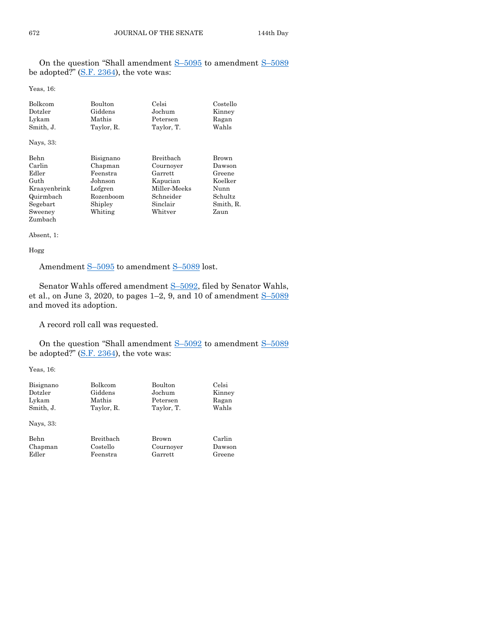On the question "Shall amendment S–[5095](https://www.legis.iowa.gov/legislation/BillBook?ga=88&ba=S5095) to amendment S–[5089](https://www.legis.iowa.gov/legislation/BillBook?ga=88&ba=S5089) be adopted?"  $(S.F. 2364)$ , the vote was:

Yeas, 16:

| <b>Bolkcom</b> | Boulton    | Celsi        | Costello  |
|----------------|------------|--------------|-----------|
| Dotzler        | Giddens    | Jochum       | Kinney    |
| Lykam          | Mathis     | Petersen     | Ragan     |
| Smith, J.      | Taylor, R. | Taylor, T.   | Wahls     |
| Nays, 33:      |            |              |           |
| Behn           | Bisignano  | Breitbach    | Brown     |
| Carlin         | Chapman    | Cournoyer    | Dawson    |
| Edler          | Feenstra   | Garrett      | Greene    |
| Guth           | Johnson    | Kapucian     | Koelker   |
| Kraayenbrink   | Lofgren    | Miller Meeks | Nunn      |
| Quirmbach      | Rozenboom  | Schneider    | Schultz   |
| Segebart       | Shipley    | Sinclair     | Smith, R. |
| Sweeney        | Whiting    | Whitver      | Zaun      |
| Zumbach        |            |              |           |

Absent, 1:

Hogg

Amendment S-[5095](https://www.legis.iowa.gov/legislation/BillBook?ga=88&ba=S5095) to amendment S-[5089](https://www.legis.iowa.gov/legislation/BillBook?ga=88&ba=S5089) lost.

Senator Wahls offered amendment S–[5092,](https://www.legis.iowa.gov/legislation/BillBook?ga=88&ba=S5092) filed by Senator Wahls, et al., on June 3, 2020, to pages  $1-2$ , 9, and 10 of amendment  $S-5089$  $S-5089$ and moved its adoption.

A record roll call was requested.

On the question "Shall amendment S–[5092](https://www.legis.iowa.gov/legislation/BillBook?ga=88&ba=S5092) to amendment S–[5089](https://www.legis.iowa.gov/legislation/BillBook?ga=88&ba=S5089) be adopted?"  $(S.F. 2364)$ , the vote was:

Yeas, 16:

| Bisignano | Bolkcom    | Boulton    | Celsi  |
|-----------|------------|------------|--------|
| Dotzler   | Giddens    | Jochum     | Kinney |
| Lykam     | Mathis     | Petersen   | Ragan  |
| Smith, J. | Taylor, R. | Taylor, T. | Wahls  |
| Nays, 33: |            |            |        |
| Behn      | Breitbach  | Brown      | Carlin |
| Chapman   | Costello   | Cournoyer  | Dawson |
| Edler     | Feenstra   | Garrett    | Greene |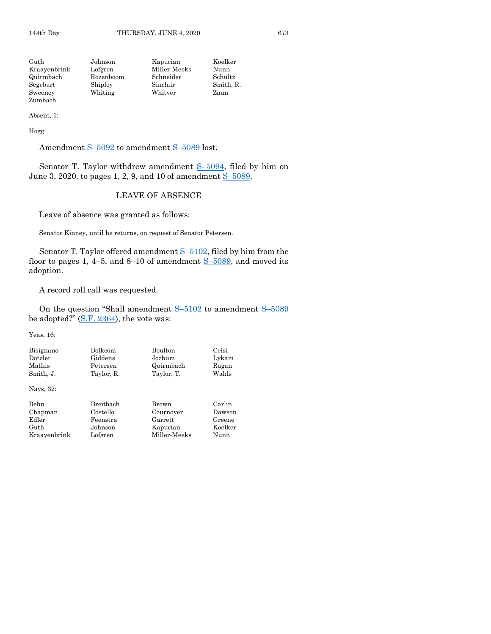| Guth         | Johnson   | Kapucian     | Koelker   |
|--------------|-----------|--------------|-----------|
| Kraayenbrink | Lofgren   | Miller-Meeks | Nunn      |
| Quirmbach    | Rozenboom | Schneider    | Schultz   |
| Segebart     | Shipley   | Sinclair     | Smith, R. |
| Sweeney      | Whiting   | Whitver      | Zaun      |
| Zumbach      |           |              |           |

Absent, 1:

Hogg

Amendment S-[5092](https://www.legis.iowa.gov/legislation/BillBook?ga=88&ba=S5092) to amendment S-[5089](https://www.legis.iowa.gov/legislation/BillBook?ga=88&ba=S5089) lost.

Senator T. Taylor withdrew amendment S–[5094,](https://www.legis.iowa.gov/legislation/BillBook?ga=88&ba=S5094) filed by him on June 3, 2020, to pages 1, 2, 9, and 10 of amendment S–[5089.](https://www.legis.iowa.gov/legislation/BillBook?ga=88&ba=S5089)

## LEAVE OF ABSENCE

Leave of absence was granted as follows:

Senator Kinney, until he returns, on request of Senator Petersen.

Senator T. Taylor offered amendment S–[5102,](https://www.legis.iowa.gov/legislation/BillBook?ga=88&ba=S5102) filed by him from the floor to pages 1, 4–5, and 8–10 of amendment  $S$ –[5089,](https://www.legis.iowa.gov/legislation/BillBook?ga=88&ba=S5089) and moved its adoption.

A record roll call was requested.

On the question "Shall amendment S–[5102](https://www.legis.iowa.gov/legislation/BillBook?ga=88&ba=S5102) to amendment S–[5089](https://www.legis.iowa.gov/legislation/BillBook?ga=88&ba=S5089) be adopted?"  $(S.F. 2364)$ , the vote was:

Yeas, 16:

| Bisignano | Bolkcom    | Boulton    | Celsi |
|-----------|------------|------------|-------|
| Dotzler   | Giddens    | Jochum     | Lykam |
| Mathis    | Petersen   | Quirmbach  | Ragan |
| Smith. J. | Taylor, R. | Taylor, T. | Wahls |
|           |            |            |       |
| Navs. 32: |            |            |       |

| Behn   |  |  |
|--------|--|--|
| $\sim$ |  |  |

| Behn         | Breitbach | Brown        | Carlin  |
|--------------|-----------|--------------|---------|
| Chapman      | Costello  | Cournoyer    | Dawson  |
| Edler        | Feenstra  | Garrett      | Greene  |
| Guth         | Johnson   | Kapucian     | Koelker |
| Kraayenbrink | Lofgren   | Miller Meeks | Nunn    |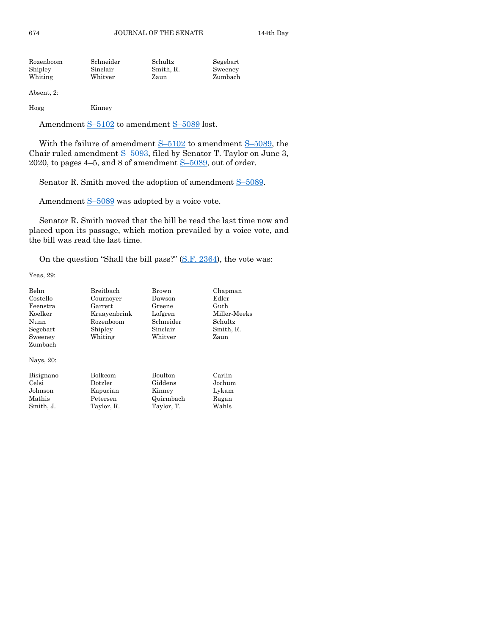| Rozenboom | Schneider | Schultz   | Segebart |
|-----------|-----------|-----------|----------|
| Shipley   | Sinclair  | Smith, R. | Sweeney  |
| Whiting   | Whitver   | Zaun      | Zumbach  |

Absent, 2:

#### Hogg Kinney

Amendment S-[5102](https://www.legis.iowa.gov/legislation/BillBook?ga=88&ba=S5102) to amendment S-[5089](https://www.legis.iowa.gov/legislation/BillBook?ga=88&ba=S5089) lost.

With the failure of amendment  $S-5102$  $S-5102$  to amendment  $S-5089$ , the Chair ruled amendment S–[5093,](https://www.legis.iowa.gov/legislation/BillBook?ga=88&ba=S5093) filed by Senator T. Taylor on June 3, 2020, to pages  $4-5$ , and  $8$  of amendment  $S-5089$ , out of order.

Senator R. Smith moved the adoption of amendment S–[5089.](https://www.legis.iowa.gov/legislation/BillBook?ga=88&ba=S5089)

Amendment S-[5089](https://www.legis.iowa.gov/legislation/BillBook?ga=88&ba=S5089) was adopted by a voice vote.

Senator R. Smith moved that the bill be read the last time now and placed upon its passage, which motion prevailed by a voice vote, and the bill was read the last time.

On the question "Shall the bill pass?" [\(S.F. 2364\)](https://www.legis.iowa.gov/legislation/BillBook?ga=88&ba=SF2364), the vote was:

Yeas, 29:

| Behn      | Breitbach      | Brown          | Chapman      |
|-----------|----------------|----------------|--------------|
| Costello  | Cournover      | Dawson         | Edler        |
| Feenstra  | Garrett        | Greene         | Guth         |
| Koelker   | Kraavenbrink   | Lofgren        | Miller-Meeks |
| Nunn      | Rozenboom      | Schneider      | Schultz      |
| Segebart  | Shipley        | Sinclair       | Smith, R.    |
| Sweeney   | Whiting        | Whitver        | Zaun         |
| Zumbach   |                |                |              |
| Nays, 20: |                |                |              |
| Bisignano | <b>Bolkcom</b> | <b>Boulton</b> | Carlin       |
| Celsi     | Dotzler        | Giddens        | Jochum       |
| Johnson   | Kapucian       | Kinney         | Lykam        |
| Mathis    | Petersen       | Quirmbach      | Ragan        |
| Smith, J. | Taylor, R.     | Taylor, T.     | Wahls        |
|           |                |                |              |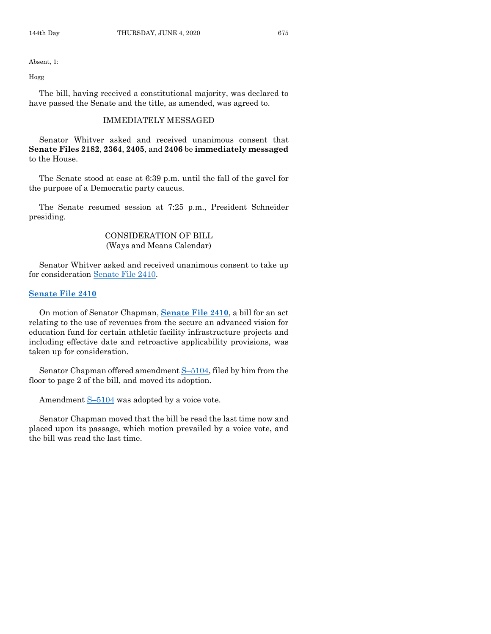Absent, 1:

Hogg

The bill, having received a constitutional majority, was declared to have passed the Senate and the title, as amended, was agreed to.

## IMMEDIATELY MESSAGED

Senator Whitver asked and received unanimous consent that **Senate Files 2182**, **2364**, **2405**, and **2406** be **immediately messaged** to the House.

The Senate stood at ease at 6:39 p.m. until the fall of the gavel for the purpose of a Democratic party caucus.

The Senate resumed session at 7:25 p.m., President Schneider presiding.

## CONSIDERATION OF BILL (Ways and Means Calendar)

Senator Whitver asked and received unanimous consent to take up for consideration [Senate File 2410.](https://www.legis.iowa.gov/legislation/BillBook?ga=88&ba=SF2410)

## **[Senate File 2410](https://www.legis.iowa.gov/legislation/BillBook?ga=88&ba=SF2410)**

On motion of Senator Chapman, **[Senate File 2410](https://www.legis.iowa.gov/legislation/BillBook?ga=88&ba=SF2410)**, a bill for an act relating to the use of revenues from the secure an advanced vision for education fund for certain athletic facility infrastructure projects and including effective date and retroactive applicability provisions, was taken up for consideration.

Senator Chapman offered amendment S–[5104,](https://www.legis.iowa.gov/legislation/BillBook?ga=88&ba=S5104) filed by him from the floor to page 2 of the bill, and moved its adoption.

Amendment S–[5104](https://www.legis.iowa.gov/legislation/BillBook?ga=88&ba=S5104) was adopted by a voice vote.

Senator Chapman moved that the bill be read the last time now and placed upon its passage, which motion prevailed by a voice vote, and the bill was read the last time.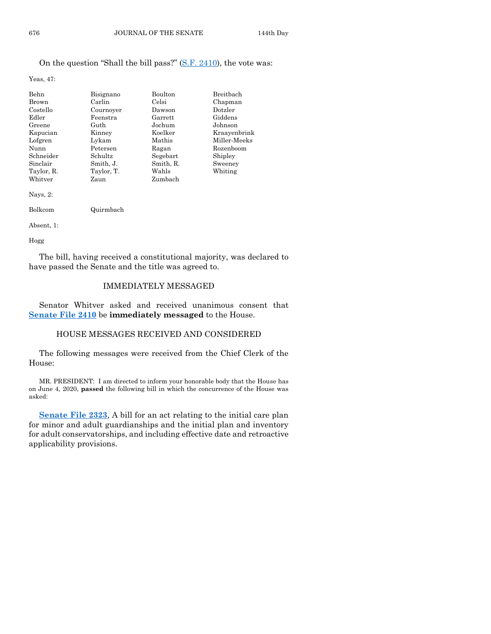## On the question "Shall the bill pass?" [\(S.F. 2410\)](https://www.legis.iowa.gov/legislation/BillBook?ga=88&ba=SF2410), the vote was:

Yeas, 47:

| <b>Behn</b>  | Bisignano  | <b>Boulton</b> | <b>Breitbach</b> |
|--------------|------------|----------------|------------------|
| <b>Brown</b> | Carlin     | Celsi          | Chapman          |
| Costello     | Cournover  | Dawson         | Dotzler          |
| Edler        | Feenstra   | Garrett        | Giddens          |
| Greene       | Guth       | Jochum         | Johnson          |
| Kapucian     | Kinney     | Koelker        | Kraayenbrink     |
| Lofgren      | Lykam      | Mathis         | Miller-Meeks     |
| Nunn         | Petersen   | Ragan          | Rozenboom        |
| Schneider    | Schultz.   | Segebart       | Shipley          |
| Sinclair     | Smith, J.  | Smith, R.      | Sweeney          |
| Taylor, R.   | Taylor, T. | Wahls          | Whiting          |
| Whitver      | Zaun       | Zumbach        |                  |
|              |            |                |                  |

Nays, 2:

Bolkcom Quirmbach

Absent, 1:

Hogg

The bill, having received a constitutional majority, was declared to have passed the Senate and the title was agreed to.

## IMMEDIATELY MESSAGED

Senator Whitver asked and received unanimous consent that **[Senate File 2410](https://www.legis.iowa.gov/legislation/BillBook?ga=88&ba=SF2410)** be **immediately messaged** to the House.

## HOUSE MESSAGES RECEIVED AND CONSIDERED

The following messages were received from the Chief Clerk of the House:

MR. PRESIDENT: I am directed to inform your honorable body that the House has on June 4, 2020, **passed** the following bill in which the concurrence of the House was asked:

**[Senate File 2323](https://www.legis.iowa.gov/legislation/BillBook?ga=88&ba=SF2323)**, A bill for an act relating to the initial care plan for minor and adult guardianships and the initial plan and inventory for adult conservatorships, and including effective date and retroactive applicability provisions.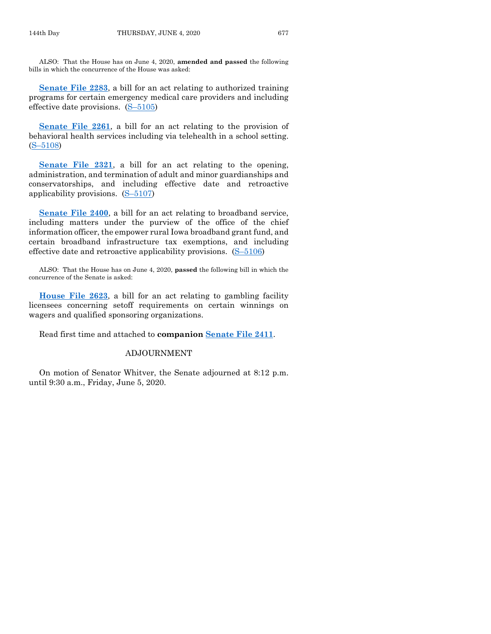ALSO: That the House has on June 4, 2020, **amended and passed** the following bills in which the concurrence of the House was asked:

**[Senate File 2283](https://www.legis.iowa.gov/legislation/BillBook?ga=88&ba=SF2283)**, a bill for an act relating to authorized training programs for certain emergency medical care providers and including effective date provisions. (S–[5105\)](https://www.legis.iowa.gov/legislation/BillBook?ga=88&ba=S5105)

**[Senate File 2261](https://www.legis.iowa.gov/legislation/BillBook?ga=88&ba=SF2261)**, a bill for an act relating to the provision of behavioral health services including via telehealth in a school setting. (S–[5108\)](https://www.legis.iowa.gov/legislation/BillBook?ga=88&ba=S5108)

**[Senate File 2321](https://www.legis.iowa.gov/legislation/BillBook?ga=88&ba=SF2321)**, a bill for an act relating to the opening, administration, and termination of adult and minor guardianships and conservatorships, and including effective date and retroactive applicability provisions.  $(S-5107)$  $(S-5107)$ 

**[Senate File 2400](https://www.legis.iowa.gov/legislation/BillBook?ga=88&ba=SF2400)**, a bill for an act relating to broadband service, including matters under the purview of the office of the chief information officer, the empower rural Iowa broadband grant fund, and certain broadband infrastructure tax exemptions, and including effective date and retroactive applicability provisions.  $(S-5106)$  $(S-5106)$ 

ALSO: That the House has on June 4, 2020, **passed** the following bill in which the concurrence of the Senate is asked:

**[House File 2623](https://www.legis.iowa.gov/legislation/BillBook?ga=88&ba=HF2623)**, a bill for an act relating to gambling facility licensees concerning setoff requirements on certain winnings on wagers and qualified sponsoring organizations.

Read first time and attached to **companion [Senate File 2411](https://www.legis.iowa.gov/legislation/BillBook?ga=88&ba=SF2411)**.

## ADJOURNMENT

On motion of Senator Whitver, the Senate adjourned at 8:12 p.m. until 9:30 a.m., Friday, June 5, 2020.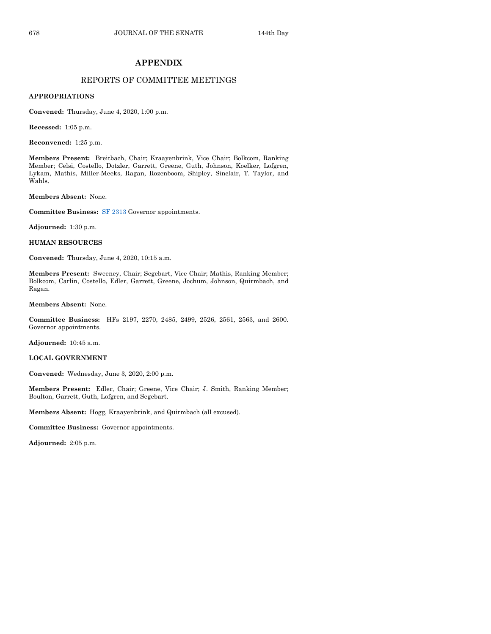## **APPENDIX**

## REPORTS OF COMMITTEE MEETINGS

#### **APPROPRIATIONS**

**Convened:** Thursday, June 4, 2020, 1:00 p.m.

**Recessed:** 1:05 p.m.

**Reconvened:** 1:25 p.m.

**Members Present:** Breitbach, Chair; Kraayenbrink, Vice Chair; Bolkcom, Ranking Member; Celsi, Costello, Dotzler, Garrett, Greene, Guth, Johnson, Koelker, Lofgren, Lykam, Mathis, Miller-Meeks, Ragan, Rozenboom, Shipley, Sinclair, T. Taylor, and Wahls.

**Members Absent:** None.

**Committee Business:** [SF 2313](https://www.legis.iowa.gov/legislation/BillBook?ga=88&ba=SF2313) Governor appointments.

**Adjourned:** 1:30 p.m.

**HUMAN RESOURCES**

**Convened:** Thursday, June 4, 2020, 10:15 a.m.

**Members Present:** Sweeney, Chair; Segebart, Vice Chair; Mathis, Ranking Member; Bolkcom, Carlin, Costello, Edler, Garrett, Greene, Jochum, Johnson, Quirmbach, and Ragan.

**Members Absent:** None.

**Committee Business:** HFs 2197, 2270, 2485, 2499, 2526, 2561, 2563, and 2600. Governor appointments.

**Adjourned:** 10:45 a.m.

**LOCAL GOVERNMENT**

**Convened:** Wednesday, June 3, 2020, 2:00 p.m.

**Members Present:** Edler, Chair; Greene, Vice Chair; J. Smith, Ranking Member; Boulton, Garrett, Guth, Lofgren, and Segebart.

**Members Absent:** Hogg, Kraayenbrink, and Quirmbach (all excused).

**Committee Business:** Governor appointments.

**Adjourned:** 2:05 p.m.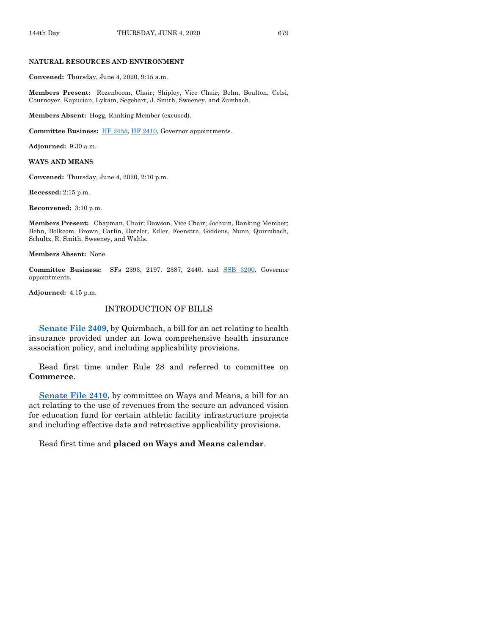#### **NATURAL RESOURCES AND ENVIRONMENT**

**Convened:** Thursday, June 4, 2020, 9:15 a.m.

**Members Present:** Rozenboom, Chair; Shipley, Vice Chair; Behn, Boulton, Celsi, Cournoyer, Kapucian, Lykam, Segebart, J. Smith, Sweeney, and Zumbach.

**Members Absent:** Hogg, Ranking Member (excused).

**Committee Business:** [HF 2455,](https://www.legis.iowa.gov/legislation/BillBook?ga=88&ba=HF2455) [HF 2410,](https://www.legis.iowa.gov/legislation/BillBook?ga=88&ba=HF2410) Governor appointments.

**Adjourned:** 9:30 a.m.

**WAYS AND MEANS**

**Convened:** Thursday, June 4, 2020, 2:10 p.m.

**Recessed:** 2:15 p.m.

**Reconvened:** 3:10 p.m.

**Members Present:** Chapman, Chair; Dawson, Vice Chair; Jochum, Ranking Member; Behn, Bolkcom, Brown, Carlin, Dotzler, Edler, Feenstra, Giddens, Nunn, Quirmbach, Schultz, R. Smith, Sweeney, and Wahls.

**Members Absent:** None.

**Committee Business:** SFs 2393, 2197, 2387, 2440, and [SSB 3200.](https://www.legis.iowa.gov/legislation/BillBook?ga=88&ba=SSB3200) Governor appointments.

**Adjourned:** 4:15 p.m.

## INTRODUCTION OF BILLS

**[Senate File 2409](https://www.legis.iowa.gov/legislation/BillBook?ga=88&ba=SF2409)**, by Quirmbach, a bill for an act relating to health insurance provided under an Iowa comprehensive health insurance association policy, and including applicability provisions.

Read first time under Rule 28 and referred to committee on **Commerce**.

**[Senate File 2410](https://www.legis.iowa.gov/legislation/BillBook?ga=88&ba=SF2410)**, by committee on Ways and Means, a bill for an act relating to the use of revenues from the secure an advanced vision for education fund for certain athletic facility infrastructure projects and including effective date and retroactive applicability provisions.

Read first time and **placed on Ways and Means calendar**.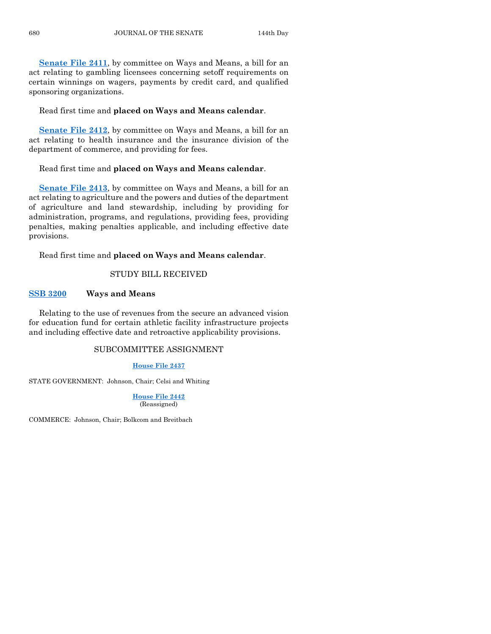**[Senate File 2411](https://www.legis.iowa.gov/legislation/BillBook?ga=88&ba=SF2411)**, by committee on Ways and Means, a bill for an act relating to gambling licensees concerning setoff requirements on certain winnings on wagers, payments by credit card, and qualified sponsoring organizations.

## Read first time and **placed on Ways and Means calendar**.

**[Senate File 2412](https://www.legis.iowa.gov/legislation/BillBook?ga=88&ba=SF2412)**, by committee on Ways and Means, a bill for an act relating to health insurance and the insurance division of the department of commerce, and providing for fees.

#### Read first time and **placed on Ways and Means calendar**.

**[Senate File 2413](https://www.legis.iowa.gov/legislation/BillBook?ga=88&ba=SF2413)**, by committee on Ways and Means, a bill for an act relating to agriculture and the powers and duties of the department of agriculture and land stewardship, including by providing for administration, programs, and regulations, providing fees, providing penalties, making penalties applicable, and including effective date provisions.

Read first time and **placed on Ways and Means calendar**.

## STUDY BILL RECEIVED

## **[SSB 3200](https://www.legis.iowa.gov/legislation/BillBook?ga=88&ba=SSB3200) Ways and Means**

Relating to the use of revenues from the secure an advanced vision for education fund for certain athletic facility infrastructure projects and including effective date and retroactive applicability provisions.

## SUBCOMMITTEE ASSIGNMENT

## **[House File 2437](https://www.legis.iowa.gov/legislation/BillBook?ga=88&ba=HF2437)**

STATE GOVERNMENT: Johnson, Chair; Celsi and Whiting

**[House File 2442](https://www.legis.iowa.gov/legislation/BillBook?ga=88&ba=HF2442)** (Reassigned)

COMMERCE: Johnson, Chair; Bolkcom and Breitbach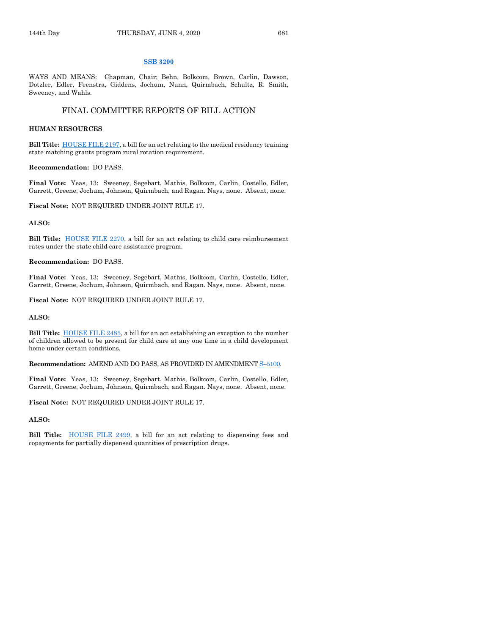#### **[SSB 3200](https://www.legis.iowa.gov/legislation/BillBook?ga=88&ba=SSB3200)**

WAYS AND MEANS: Chapman, Chair; Behn, Bolkcom, Brown, Carlin, Dawson, Dotzler, Edler, Feenstra, Giddens, Jochum, Nunn, Quirmbach, Schultz, R. Smith, Sweeney, and Wahls.

## FINAL COMMITTEE REPORTS OF BILL ACTION

#### **HUMAN RESOURCES**

**Bill Title:** [HOUSE FILE 2197,](https://www.legis.iowa.gov/legislation/BillBook?ga=88&ba=HF2197) a bill for an act relating to the medical residency training state matching grants program rural rotation requirement.

#### **Recommendation:** DO PASS.

**Final Vote:** Yeas, 13: Sweeney, Segebart, Mathis, Bolkcom, Carlin, Costello, Edler, Garrett, Greene, Jochum, Johnson, Quirmbach, and Ragan. Nays, none. Absent, none.

**Fiscal Note:** NOT REQUIRED UNDER JOINT RULE 17.

#### **ALSO:**

**Bill Title:** [HOUSE FILE 2270,](https://www.legis.iowa.gov/legislation/BillBook?ga=88&ba=HF2270) a bill for an act relating to child care reimbursement rates under the state child care assistance program.

#### **Recommendation:** DO PASS.

**Final Vote:** Yeas, 13: Sweeney, Segebart, Mathis, Bolkcom, Carlin, Costello, Edler, Garrett, Greene, Jochum, Johnson, Quirmbach, and Ragan. Nays, none. Absent, none.

**Fiscal Note:** NOT REQUIRED UNDER JOINT RULE 17.

**ALSO:**

**Bill Title:** [HOUSE FILE 2485,](https://www.legis.iowa.gov/legislation/BillBook?ga=88&ba=HF2485) a bill for an act establishing an exception to the number of children allowed to be present for child care at any one time in a child development home under certain conditions.

**Recommendation:** AMEND AND DO PASS, AS PROVIDED IN AMENDMENT S–[5100.](https://www.legis.iowa.gov/legislation/BillBook?ga=88&ba=S5100)

**Final Vote:** Yeas, 13: Sweeney, Segebart, Mathis, Bolkcom, Carlin, Costello, Edler, Garrett, Greene, Jochum, Johnson, Quirmbach, and Ragan. Nays, none. Absent, none.

**Fiscal Note:** NOT REQUIRED UNDER JOINT RULE 17.

**ALSO:**

**Bill Title:** [HOUSE FILE 2499,](https://www.legis.iowa.gov/legislation/BillBook?ga=88&ba=HF2499) a bill for an act relating to dispensing fees and copayments for partially dispensed quantities of prescription drugs.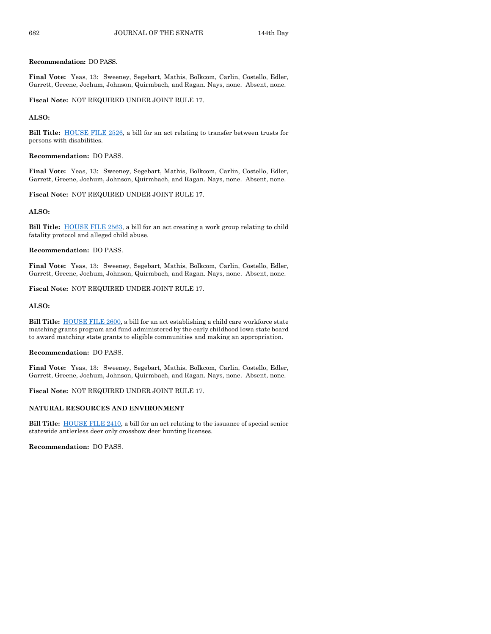#### **Recommendation:** DO PASS.

**Final Vote:** Yeas, 13: Sweeney, Segebart, Mathis, Bolkcom, Carlin, Costello, Edler, Garrett, Greene, Jochum, Johnson, Quirmbach, and Ragan. Nays, none. Absent, none.

**Fiscal Note:** NOT REQUIRED UNDER JOINT RULE 17.

## **ALSO:**

**Bill Title:** [HOUSE FILE 2526,](https://www.legis.iowa.gov/legislation/BillBook?ga=88&ba=HF2526) a bill for an act relating to transfer between trusts for persons with disabilities.

## **Recommendation:** DO PASS.

**Final Vote:** Yeas, 13: Sweeney, Segebart, Mathis, Bolkcom, Carlin, Costello, Edler, Garrett, Greene, Jochum, Johnson, Quirmbach, and Ragan. Nays, none. Absent, none.

## **Fiscal Note:** NOT REQUIRED UNDER JOINT RULE 17.

#### **ALSO:**

**Bill Title:** [HOUSE FILE 2563,](https://www.legis.iowa.gov/legislation/BillBook?ga=88&ba=HF2563) a bill for an act creating a work group relating to child fatality protocol and alleged child abuse.

#### **Recommendation:** DO PASS.

**Final Vote:** Yeas, 13: Sweeney, Segebart, Mathis, Bolkcom, Carlin, Costello, Edler, Garrett, Greene, Jochum, Johnson, Quirmbach, and Ragan. Nays, none. Absent, none.

#### **Fiscal Note:** NOT REQUIRED UNDER JOINT RULE 17.

#### **ALSO:**

**Bill Title:** [HOUSE FILE 2600,](https://www.legis.iowa.gov/legislation/BillBook?ga=88&ba=HF2600) a bill for an act establishing a child care workforce state matching grants program and fund administered by the early childhood Iowa state board to award matching state grants to eligible communities and making an appropriation.

#### **Recommendation:** DO PASS.

**Final Vote:** Yeas, 13: Sweeney, Segebart, Mathis, Bolkcom, Carlin, Costello, Edler, Garrett, Greene, Jochum, Johnson, Quirmbach, and Ragan. Nays, none. Absent, none.

**Fiscal Note:** NOT REQUIRED UNDER JOINT RULE 17.

#### **NATURAL RESOURCES AND ENVIRONMENT**

**Bill Title:** [HOUSE FILE 2410,](https://www.legis.iowa.gov/legislation/BillBook?ga=88&ba=HF2410) a bill for an act relating to the issuance of special senior statewide antlerless deer only crossbow deer hunting licenses.

**Recommendation:** DO PASS.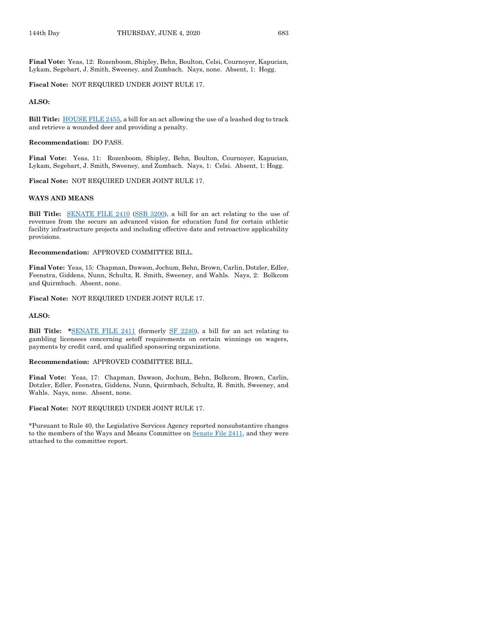**Final Vote:** Yeas, 12: Rozenboom, Shipley, Behn, Boulton, Celsi, Cournoyer, Kapucian, Lykam, Segebart, J. Smith, Sweeney, and Zumbach. Nays, none. Absent, 1: Hogg.

#### **Fiscal Note:** NOT REQUIRED UNDER JOINT RULE 17.

#### **ALSO:**

**Bill Title:** [HOUSE FILE 2455,](https://www.legis.iowa.gov/legislation/BillBook?ga=88&ba=HF2455) a bill for an act allowing the use of a leashed dog to track and retrieve a wounded deer and providing a penalty.

#### **Recommendation:** DO PASS.

**Final Vote:** Yeas, 11: Rozenboom, Shipley, Behn, Boulton, Cournoyer, Kapucian, Lykam, Segebart, J. Smith, Sweeney, and Zumbach. Nays, 1: Celsi. Absent, 1: Hogg.

#### **Fiscal Note:** NOT REQUIRED UNDER JOINT RULE 17.

#### **WAYS AND MEANS**

**Bill Title:** [SENATE FILE 2410](https://www.legis.iowa.gov/legislation/BillBook?ga=88&ba=SF2410) [\(SSB 3200\),](https://www.legis.iowa.gov/legislation/BillBook?ga=88&ba=SSB3200) a bill for an act relating to the use of revenues from the secure an advanced vision for education fund for certain athletic facility infrastructure projects and including effective date and retroactive applicability provisions.

#### **Recommendation:** APPROVED COMMITTEE BILL.

**Final Vote:** Yeas, 15: Chapman, Dawson, Jochum, Behn, Brown, Carlin, Dotzler, Edler, Feenstra, Giddens, Nunn, Schultz, R. Smith, Sweeney, and Wahls. Nays, 2: Bolkcom and Quirmbach. Absent, none.

#### **Fiscal Note:** NOT REQUIRED UNDER JOINT RULE 17.

#### **ALSO:**

**Bill Title:** \*[SENATE FILE 2411](https://www.legis.iowa.gov/legislation/BillBook?ga=88&ba=SF2411) (formerly [SF 2240\),](https://www.legis.iowa.gov/legislation/BillBook?ga=88&ba=SF2240) a bill for an act relating to gambling licensees concerning setoff requirements on certain winnings on wagers, payments by credit card, and qualified sponsoring organizations.

#### **Recommendation:** APPROVED COMMITTEE BILL.

**Final Vote:** Yeas, 17: Chapman, Dawson, Jochum, Behn, Bolkcom, Brown, Carlin, Dotzler, Edler, Feenstra, Giddens, Nunn, Quirmbach, Schultz, R. Smith, Sweeney, and Wahls. Nays, none. Absent, none.

#### **Fiscal Note:** NOT REQUIRED UNDER JOINT RULE 17.

\*Pursuant to Rule 40, the Legislative Services Agency reported nonsubstantive changes to the members of the Ways and Means Committee on Senate [File 2411,](https://www.legis.iowa.gov/legislation/BillBook?ga=88&ba=SF2411) and they were attached to the committee report.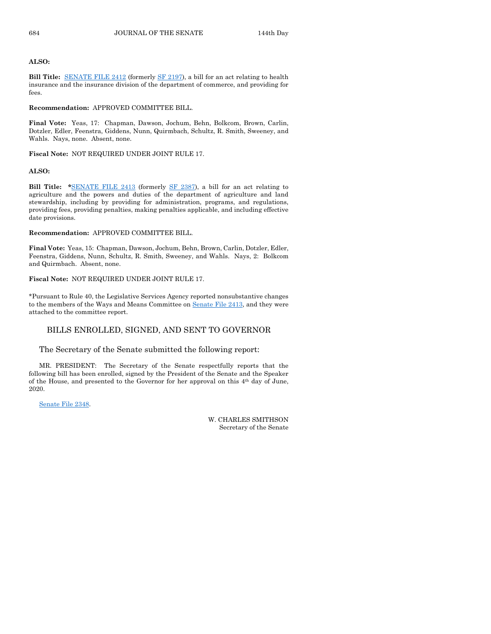#### **ALSO:**

**Bill Title:** [SENATE FILE 2412](https://www.legis.iowa.gov/legislation/BillBook?ga=88&ba=SF2412) (formerl[y SF 2197\)](https://www.legis.iowa.gov/legislation/BillBook?ga=88&ba=SF2197), a bill for an act relating to health insurance and the insurance division of the department of commerce, and providing for fees.

**Recommendation:** APPROVED COMMITTEE BILL.

**Final Vote:** Yeas, 17: Chapman, Dawson, Jochum, Behn, Bolkcom, Brown, Carlin, Dotzler, Edler, Feenstra, Giddens, Nunn, Quirmbach, Schultz, R. Smith, Sweeney, and Wahls. Nays, none. Absent, none.

**Fiscal Note:** NOT REQUIRED UNDER JOINT RULE 17.

#### **ALSO:**

**Bill Title: \***[SENATE FILE 2413](https://www.legis.iowa.gov/legislation/BillBook?ga=88&ba=SF2413) (formerly [SF 2387\),](https://www.legis.iowa.gov/legislation/BillBook?ga=88&ba=SF2387) a bill for an act relating to agriculture and the powers and duties of the department of agriculture and land stewardship, including by providing for administration, programs, and regulations, providing fees, providing penalties, making penalties applicable, and including effective date provisions.

#### **Recommendation:** APPROVED COMMITTEE BILL.

**Final Vote:** Yeas, 15: Chapman, Dawson, Jochum, Behn, Brown, Carlin, Dotzler, Edler, Feenstra, Giddens, Nunn, Schultz, R. Smith, Sweeney, and Wahls. Nays, 2: Bolkcom and Quirmbach. Absent, none.

#### **Fiscal Note:** NOT REQUIRED UNDER JOINT RULE 17.

\*Pursuant to Rule 40, the Legislative Services Agency reported nonsubstantive changes to the members of the Ways and Means Committee on Senate [File 2413,](https://www.legis.iowa.gov/legislation/BillBook?ga=88&ba=SF2413) and they were attached to the committee report.

## BILLS ENROLLED, SIGNED, AND SENT TO GOVERNOR

#### The Secretary of the Senate submitted the following report:

MR. PRESIDENT: The Secretary of the Senate respectfully reports that the following bill has been enrolled, signed by the President of the Senate and the Speaker of the House, and presented to the Governor for her approval on this 4th day of June, 2020.

[Senate File](https://www.legis.iowa.gov/legislation/BillBook?ga=88&ba=SF2348) 2348.

W. CHARLES SMITHSON Secretary of the Senate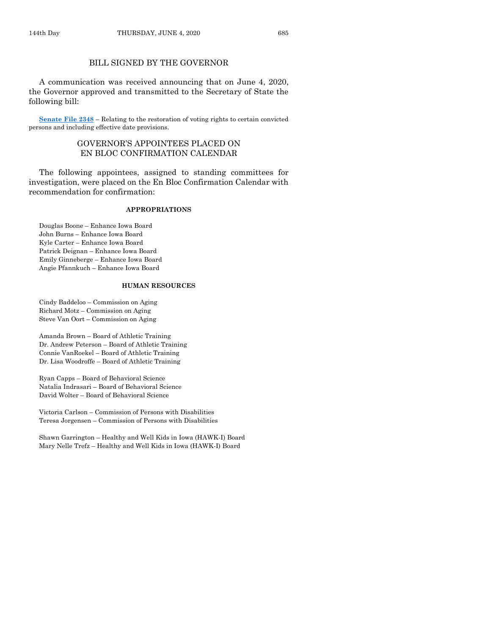## BILL SIGNED BY THE GOVERNOR

A communication was received announcing that on June 4, 2020, the Governor approved and transmitted to the Secretary of State the following bill:

**[Senate File 2348](https://www.legis.iowa.gov/legislation/BillBook?ga=88&ba=SF2348)** – Relating to the restoration of voting rights to certain convicted persons and including effective date provisions.

## GOVERNOR'S APPOINTEES PLACED ON EN BLOC CONFIRMATION CALENDAR

The following appointees, assigned to standing committees for investigation, were placed on the En Bloc Confirmation Calendar with recommendation for confirmation:

#### **APPROPRIATIONS**

Douglas Boone – Enhance Iowa Board John Burns – Enhance Iowa Board Kyle Carter – Enhance Iowa Board Patrick Deignan – Enhance Iowa Board Emily Ginneberge – Enhance Iowa Board Angie Pfannkuch – Enhance Iowa Board

## **HUMAN RESOURCES**

Cindy Baddeloo – Commission on Aging Richard Motz – Commission on Aging Steve Van Oort – Commission on Aging

Amanda Brown – Board of Athletic Training Dr. Andrew Peterson – Board of Athletic Training Connie VanRoekel – Board of Athletic Training Dr. Lisa Woodroffe – Board of Athletic Training

Ryan Capps – Board of Behavioral Science Natalia Indrasari – Board of Behavioral Science David Wolter – Board of Behavioral Science

Victoria Carlson – Commission of Persons with Disabilities Teresa Jorgensen – Commission of Persons with Disabilities

Shawn Garrington – Healthy and Well Kids in Iowa (HAWK-I) Board Mary Nelle Trefz – Healthy and Well Kids in Iowa (HAWK-I) Board